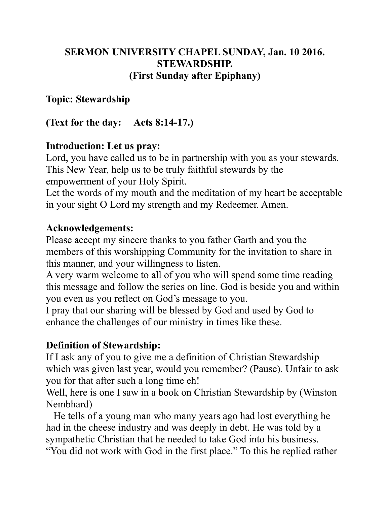### **SERMON UNIVERSITY CHAPEL SUNDAY, Jan. 10 2016. STEWARDSHIP. (First Sunday after Epiphany)**

#### **Topic: Stewardship**

**(Text for the day: Acts 8:14-17.)**

### **Introduction: Let us pray:**

Lord, you have called us to be in partnership with you as your stewards. This New Year, help us to be truly faithful stewards by the empowerment of your Holy Spirit.

Let the words of my mouth and the meditation of my heart be acceptable in your sight O Lord my strength and my Redeemer. Amen.

### **Acknowledgements:**

Please accept my sincere thanks to you father Garth and you the members of this worshipping Community for the invitation to share in this manner, and your willingness to listen.

A very warm welcome to all of you who will spend some time reading this message and follow the series on line. God is beside you and within you even as you reflect on God's message to you.

I pray that our sharing will be blessed by God and used by God to enhance the challenges of our ministry in times like these.

### **Definition of Stewardship:**

If I ask any of you to give me a definition of Christian Stewardship which was given last year, would you remember? (Pause). Unfair to ask you for that after such a long time eh!

Well, here is one I saw in a book on Christian Stewardship by (Winston Nembhard)

 He tells of a young man who many years ago had lost everything he had in the cheese industry and was deeply in debt. He was told by a sympathetic Christian that he needed to take God into his business. "You did not work with God in the first place." To this he replied rather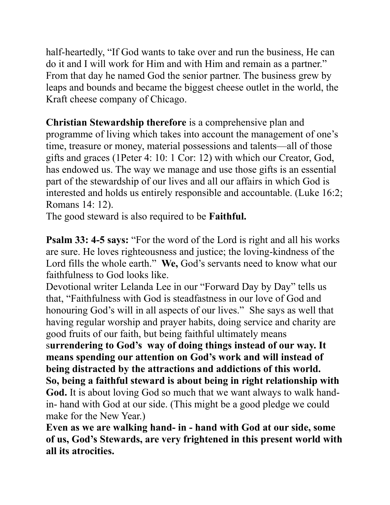half-heartedly, "If God wants to take over and run the business, He can do it and I will work for Him and with Him and remain as a partner." From that day he named God the senior partner. The business grew by leaps and bounds and became the biggest cheese outlet in the world, the Kraft cheese company of Chicago.

**Christian Stewardship therefore** is a comprehensive plan and programme of living which takes into account the management of one's time, treasure or money, material possessions and talents—all of those gifts and graces (1Peter 4: 10: 1 Cor: 12) with which our Creator, God, has endowed us. The way we manage and use those gifts is an essential part of the stewardship of our lives and all our affairs in which God is interested and holds us entirely responsible and accountable. (Luke 16:2; Romans 14: 12).

The good steward is also required to be **Faithful.**

**Psalm 33: 4-5 says:** "For the word of the Lord is right and all his works are sure. He loves righteousness and justice; the loving-kindness of the Lord fills the whole earth." We, God's servants need to know what our faithfulness to God looks like.

Devotional writer Lelanda Lee in our "Forward Day by Day" tells us that, "Faithfulness with God is steadfastness in our love of God and honouring God's will in all aspects of our lives."She says as well that having regular worship and prayer habits, doing service and charity are good fruits of our faith, but being faithful ultimately means

s**urrendering to God's way of doing things instead of our way. It means spending our attention on God's work and will instead of being distracted by the attractions and addictions of this world.**

**So, being a faithful steward is about being in right relationship with God.** It is about loving God so much that we want always to walk handin- hand with God at our side. (This might be a good pledge we could make for the New Year.)

**Even as we are walking hand- in - hand with God at our side, some of us, God's Stewards, are very frightened in this present world with all its atrocities.**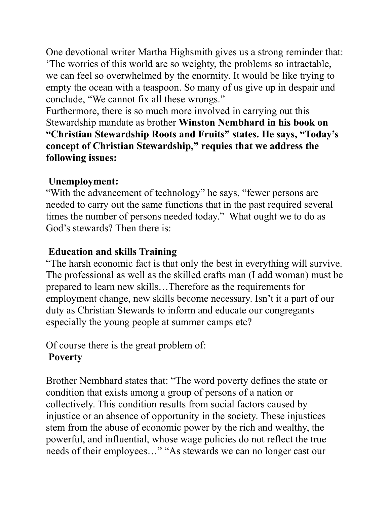One devotional writer Martha Highsmith gives us a strong reminder that: 'The worries of this world are so weighty, the problems so intractable, we can feel so overwhelmed by the enormity. It would be like trying to empty the ocean with a teaspoon. So many of us give up in despair and conclude, "We cannot fix all these wrongs."

Furthermore, there is so much more involved in carrying out this Stewardship mandate as brother **Winston Nembhard in his book on "Christian Stewardship Roots and Fruits" states. He says, "Today's concept of Christian Stewardship," requies that we address the following issues:**

## **Unemployment:**

"With the advancement of technology" he says, "fewer persons are needed to carry out the same functions that in the past required several times the number of persons needed today." What ought we to do as God's stewards? Then there is:

## **Education and skills Training**

"The harsh economic fact is that only the best in everything will survive. The professional as well as the skilled crafts man (I add woman) must be prepared to learn new skills…Therefore as the requirements for employment change, new skills become necessary. Isn't it a part of our duty as Christian Stewards to inform and educate our congregants especially the young people at summer camps etc?

Of course there is the great problem of:

# **Poverty**

Brother Nembhard states that: "The word poverty defines the state or condition that exists among a group of persons of a nation or collectively. This condition results from social factors caused by injustice or an absence of opportunity in the society. These injustices stem from the abuse of economic power by the rich and wealthy, the powerful, and influential, whose wage policies do not reflect the true needs of their employees…" "As stewards we can no longer cast our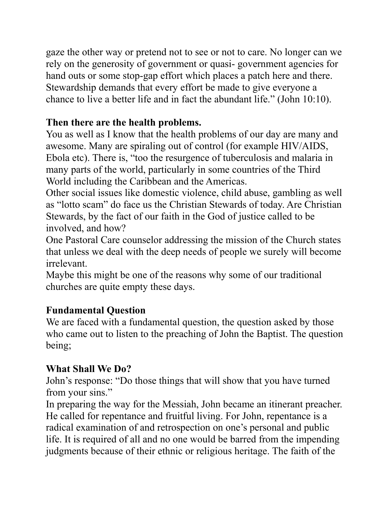gaze the other way or pretend not to see or not to care. No longer can we rely on the generosity of government or quasi- government agencies for hand outs or some stop-gap effort which places a patch here and there. Stewardship demands that every effort be made to give everyone a chance to live a better life and in fact the abundant life." (John 10:10).

## **Then there are the health problems.**

You as well as I know that the health problems of our day are many and awesome. Many are spiraling out of control (for example HIV/AIDS, Ebola etc). There is, "too the resurgence of tuberculosis and malaria in many parts of the world, particularly in some countries of the Third World including the Caribbean and the Americas.

Other social issues like domestic violence, child abuse, gambling as well as "lotto scam" do face us the Christian Stewards of today. Are Christian Stewards, by the fact of our faith in the God of justice called to be involved, and how?

One Pastoral Care counselor addressing the mission of the Church states that unless we deal with the deep needs of people we surely will become irrelevant.

Maybe this might be one of the reasons why some of our traditional churches are quite empty these days.

# **Fundamental Question**

We are faced with a fundamental question, the question asked by those who came out to listen to the preaching of John the Baptist. The question being;

# **What Shall We Do?**

John's response: "Do those things that will show that you have turned from your sins."

In preparing the way for the Messiah, John became an itinerant preacher. He called for repentance and fruitful living. For John, repentance is a radical examination of and retrospection on one's personal and public life. It is required of all and no one would be barred from the impending judgments because of their ethnic or religious heritage. The faith of the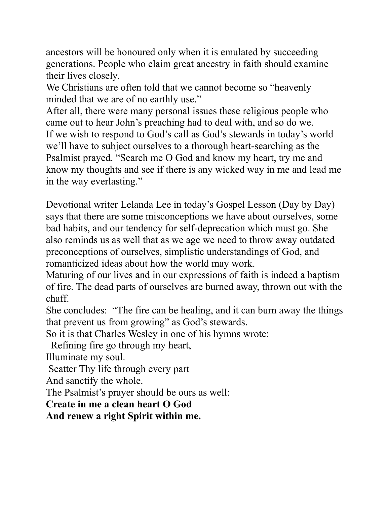ancestors will be honoured only when it is emulated by succeeding generations. People who claim great ancestry in faith should examine their lives closely.

We Christians are often told that we cannot become so "heavenly minded that we are of no earthly use."

After all, there were many personal issues these religious people who came out to hear John's preaching had to deal with, and so do we. If we wish to respond to God's call as God's stewards in today's world we'll have to subject ourselves to a thorough heart-searching as the Psalmist prayed. "Search me O God and know my heart, try me and know my thoughts and see if there is any wicked way in me and lead me in the way everlasting."

Devotional writer Lelanda Lee in today's Gospel Lesson (Day by Day) says that there are some misconceptions we have about ourselves, some bad habits, and our tendency for self-deprecation which must go. She also reminds us as well that as we age we need to throw away outdated preconceptions of ourselves, simplistic understandings of God, and romanticized ideas about how the world may work.

Maturing of our lives and in our expressions of faith is indeed a baptism of fire. The dead parts of ourselves are burned away, thrown out with the chaff.

She concludes: "The fire can be healing, and it can burn away the things that prevent us from growing" as God's stewards.

So it is that Charles Wesley in one of his hymns wrote:

Refining fire go through my heart,

Illuminate my soul.

Scatter Thy life through every part

And sanctify the whole.

The Psalmist's prayer should be ours as well:

**Create in me a clean heart O God**

**And renew a right Spirit within me.**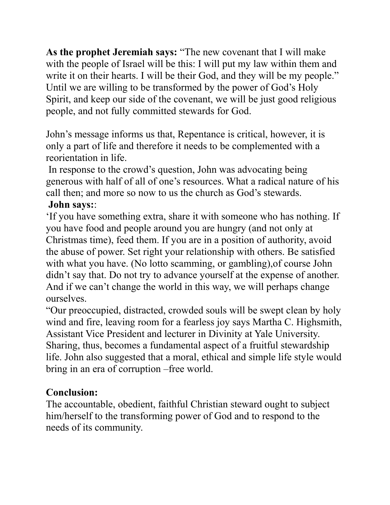**As the prophet Jeremiah says:** "The new covenant that I will make with the people of Israel will be this: I will put my law within them and write it on their hearts. I will be their God, and they will be my people." Until we are willing to be transformed by the power of God's Holy Spirit, and keep our side of the covenant, we will be just good religious people, and not fully committed stewards for God.

John's message informs us that, Repentance is critical, however, it is only a part of life and therefore it needs to be complemented with a reorientation in life.

 In response to the crowd's question, John was advocating being generous with half of all of one's resources. What a radical nature of his call then; and more so now to us the church as God's stewards.

### **John says:**:

'If you have something extra, share it with someone who has nothing. If you have food and people around you are hungry (and not only at Christmas time), feed them. If you are in a position of authority, avoid the abuse of power. Set right your relationship with others. Be satisfied with what you have. (No lotto scamming, or gambling),of course John didn't say that. Do not try to advance yourself at the expense of another. And if we can't change the world in this way, we will perhaps change ourselves.

"Our preoccupied, distracted, crowded souls will be swept clean by holy wind and fire, leaving room for a fearless joy says Martha C. Highsmith, Assistant Vice President and lecturer in Divinity at Yale University. Sharing, thus, becomes a fundamental aspect of a fruitful stewardship life. John also suggested that a moral, ethical and simple life style would bring in an era of corruption –free world.

### **Conclusion:**

The accountable, obedient, faithful Christian steward ought to subject him/herself to the transforming power of God and to respond to the needs of its community.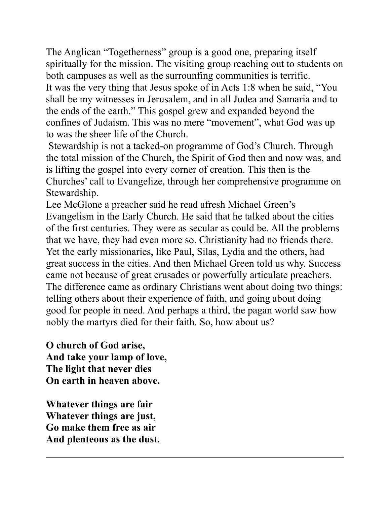The Anglican "Togetherness" group is a good one, preparing itself spiritually for the mission. The visiting group reaching out to students on both campuses as well as the surrounfing communities is terrific. It was the very thing that Jesus spoke of in Acts 1:8 when he said, "You shall be my witnesses in Jerusalem, and in all Judea and Samaria and to the ends of the earth." This gospel grew and expanded beyond the confines of Judaism. This was no mere "movement", what God was up to was the sheer life of the Church.

 Stewardship is not a tacked-on programme of God's Church. Through the total mission of the Church, the Spirit of God then and now was, and is lifting the gospel into every corner of creation. This then is the Churches' call to Evangelize, through her comprehensive programme on Stewardship.

Lee McGlone a preacher said he read afresh Michael Green's Evangelism in the Early Church. He said that he talked about the cities of the first centuries. They were as secular as could be. All the problems that we have, they had even more so. Christianity had no friends there. Yet the early missionaries, like Paul, Silas, Lydia and the others, had great success in the cities. And then Michael Green told us why. Success came not because of great crusades or powerfully articulate preachers. The difference came as ordinary Christians went about doing two things: telling others about their experience of faith, and going about doing good for people in need. And perhaps a third, the pagan world saw how nobly the martyrs died for their faith. So, how about us?

**O church of God arise, And take your lamp of love, The light that never dies On earth in heaven above.**

**Whatever things are fair Whatever things are just, Go make them free as air And plenteous as the dust.**